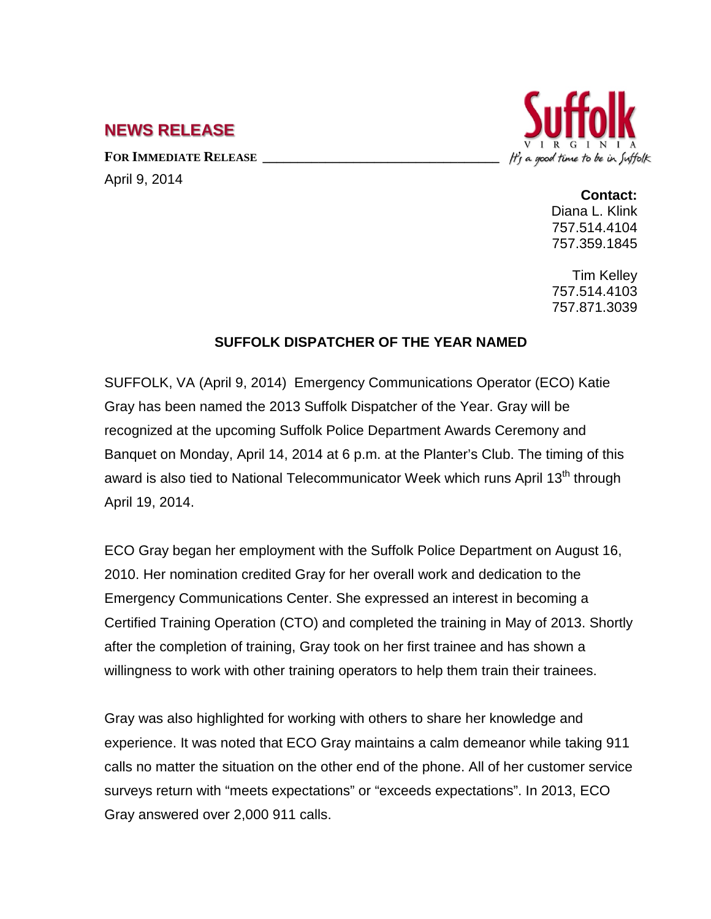## **NEWS RELEASE**

FOR **IMMEDIATE RELEASE** 

April 9, 2014

## It's a good time to be in Suffolk

## **Contact:**

Diana L. Klink 757.514.4104 757.359.1845

Tim Kelley 757.514.4103 757.871.3039

## **SUFFOLK DISPATCHER OF THE YEAR NAMED**

SUFFOLK, VA (April 9, 2014) Emergency Communications Operator (ECO) Katie Gray has been named the 2013 Suffolk Dispatcher of the Year. Gray will be recognized at the upcoming Suffolk Police Department Awards Ceremony and Banquet on Monday, April 14, 2014 at 6 p.m. at the Planter's Club. The timing of this award is also tied to National Telecommunicator Week which runs April 13<sup>th</sup> through April 19, 2014.

ECO Gray began her employment with the Suffolk Police Department on August 16, 2010. Her nomination credited Gray for her overall work and dedication to the Emergency Communications Center. She expressed an interest in becoming a Certified Training Operation (CTO) and completed the training in May of 2013. Shortly after the completion of training, Gray took on her first trainee and has shown a willingness to work with other training operators to help them train their trainees.

Gray was also highlighted for working with others to share her knowledge and experience. It was noted that ECO Gray maintains a calm demeanor while taking 911 calls no matter the situation on the other end of the phone. All of her customer service surveys return with "meets expectations" or "exceeds expectations". In 2013, ECO Gray answered over 2,000 911 calls.